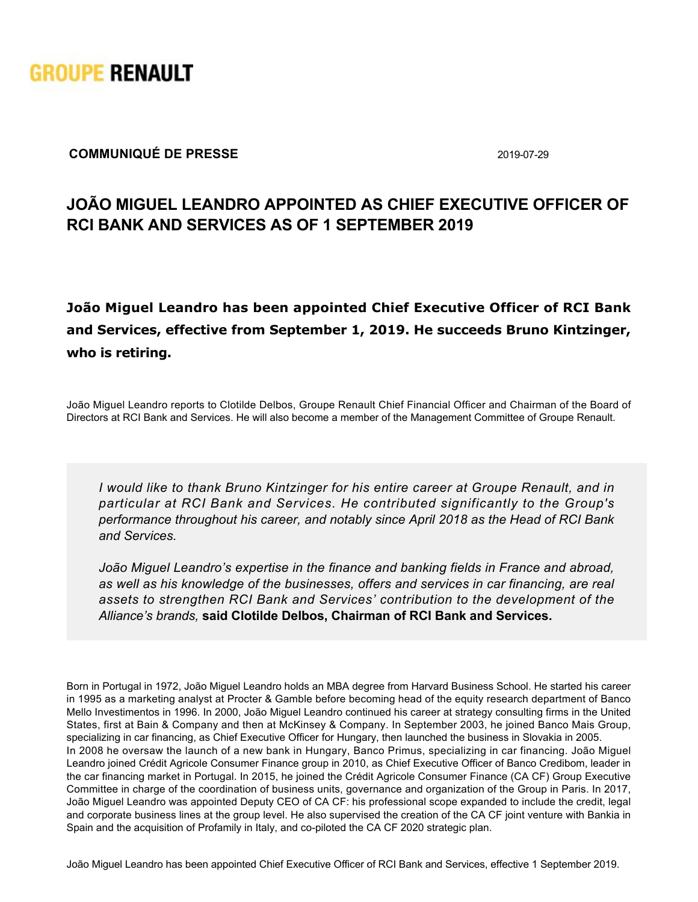

## **COMMUNIQUÉ DE PRESSE** 2019-07-29

## **JOÃO MIGUEL LEANDRO APPOINTED AS CHIEF EXECUTIVE OFFICER OF RCI BANK AND SERVICES AS OF 1 SEPTEMBER 2019**

**João Miguel Leandro has been appointed Chief Executive Officer of RCI Bank and Services, effective from September 1, 2019. He succeeds Bruno Kintzinger, who is retiring.**

João Miguel Leandro reports to Clotilde Delbos, Groupe Renault Chief Financial Officer and Chairman of the Board of Directors at RCI Bank and Services. He will also become a member of the Management Committee of Groupe Renault.

*I would like to thank Bruno Kintzinger for his entire career at Groupe Renault, and in particular at RCI Bank and Services. He contributed significantly to the Group's performance throughout his career, and notably since April 2018 as the Head of RCI Bank and Services.*

*João Miguel Leandro's expertise in the finance and banking fields in France and abroad, as well as his knowledge of the businesses, offers and services in car financing, are real assets to strengthen RCI Bank and Services' contribution to the development of the Alliance's brands,* **said Clotilde Delbos, Chairman of RCI Bank and Services.**

Born in Portugal in 1972, João Miguel Leandro holds an MBA degree from Harvard Business School. He started his career in 1995 as a marketing analyst at Procter & Gamble before becoming head of the equity research department of Banco Mello Investimentos in 1996. In 2000, João Miguel Leandro continued his career at strategy consulting firms in the United States, first at Bain & Company and then at McKinsey & Company. In September 2003, he joined Banco Mais Group, specializing in car financing, as Chief Executive Officer for Hungary, then launched the business in Slovakia in 2005. In 2008 he oversaw the launch of a new bank in Hungary, Banco Primus, specializing in car financing. João Miguel Leandro joined Crédit Agricole Consumer Finance group in 2010, as Chief Executive Officer of Banco Credibom, leader in the car financing market in Portugal. In 2015, he joined the Crédit Agricole Consumer Finance (CA CF) Group Executive Committee in charge of the coordination of business units, governance and organization of the Group in Paris. In 2017, João Miguel Leandro was appointed Deputy CEO of CA CF: his professional scope expanded to include the credit, legal and corporate business lines at the group level. He also supervised the creation of the CA CF joint venture with Bankia in Spain and the acquisition of Profamily in Italy, and co-piloted the CA CF 2020 strategic plan.